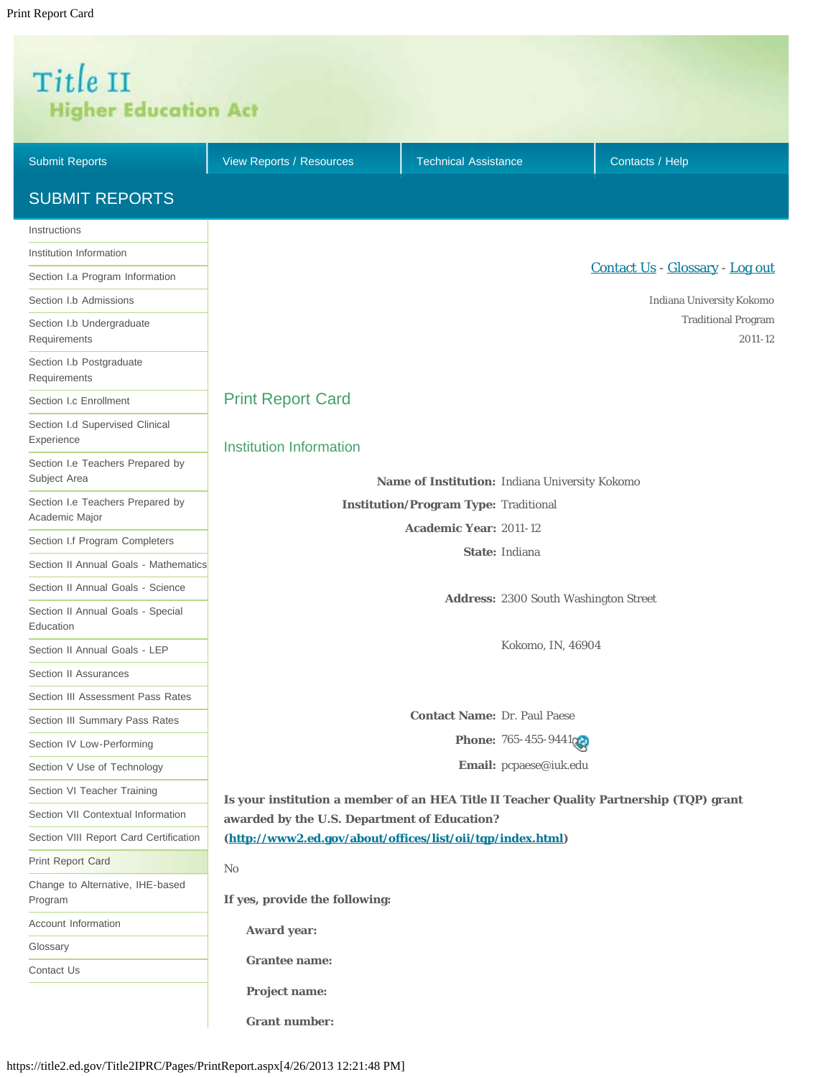# <span id="page-0-0"></span>Title II **Higher Education Act**

| <b>Submit Reports</b>                              | View Reports / Resources                                   | <b>Technical Assistance</b>                                                             | Contacts / Help                       |
|----------------------------------------------------|------------------------------------------------------------|-----------------------------------------------------------------------------------------|---------------------------------------|
| <b>SUBMIT REPORTS</b>                              |                                                            |                                                                                         |                                       |
| Instructions                                       |                                                            |                                                                                         |                                       |
| Institution Information                            |                                                            |                                                                                         |                                       |
| Section I.a Program Information                    |                                                            |                                                                                         | Contact Us - Glossary - Log out       |
| Section I.b Admissions                             |                                                            |                                                                                         | Indiana University Kokomo             |
| Section I.b Undergraduate<br>Requirements          |                                                            |                                                                                         | <b>Traditional Program</b><br>2011-12 |
| Section I.b Postgraduate<br>Requirements           |                                                            |                                                                                         |                                       |
| Section I.c Enrollment                             | <b>Print Report Card</b>                                   |                                                                                         |                                       |
| Section I.d Supervised Clinical<br>Experience      | Institution Information                                    |                                                                                         |                                       |
| Section I.e Teachers Prepared by<br>Subject Area   |                                                            | Name of Institution: Indiana University Kokomo                                          |                                       |
| Section I.e Teachers Prepared by<br>Academic Major |                                                            | <b>Institution/Program Type: Traditional</b>                                            |                                       |
| Section I.f Program Completers                     |                                                            | <b>Academic Year: 2011-12</b>                                                           |                                       |
| Section II Annual Goals - Mathematics              |                                                            | State: Indiana                                                                          |                                       |
| Section II Annual Goals - Science                  |                                                            |                                                                                         |                                       |
| Section II Annual Goals - Special<br>Education     |                                                            | <b>Address: 2300 South Washington Street</b>                                            |                                       |
| Section II Annual Goals - LEP                      |                                                            | Kokomo, IN, 46904                                                                       |                                       |
| Section II Assurances                              |                                                            |                                                                                         |                                       |
| Section III Assessment Pass Rates                  |                                                            |                                                                                         |                                       |
| Section III Summary Pass Rates                     |                                                            | <b>Contact Name: Dr. Paul Paese</b>                                                     |                                       |
| Section IV Low-Performing                          |                                                            | Phone: 765-455-944102                                                                   |                                       |
| Section V Use of Technology                        |                                                            | Email: pcpaese@iuk.edu                                                                  |                                       |
| Section VI Teacher Training                        |                                                            | Is your institution a member of an HEA Title II Teacher Quality Partnership (TQP) grant |                                       |
| Section VII Contextual Information                 | awarded by the U.S. Department of Education?               |                                                                                         |                                       |
| Section VIII Report Card Certification             | (http://www2.ed.gov/about/offices/list/oii/tqp/index.html) |                                                                                         |                                       |
| <b>Print Report Card</b>                           | $\rm No$                                                   |                                                                                         |                                       |
| Change to Alternative, IHE-based<br>Program        | If yes, provide the following:                             |                                                                                         |                                       |
| Account Information                                | <b>Award year:</b>                                         |                                                                                         |                                       |
| Glossary                                           |                                                            |                                                                                         |                                       |
| Contact Us                                         | <b>Grantee name:</b><br><b>Project name:</b>               |                                                                                         |                                       |
|                                                    | <b>Grant number:</b>                                       |                                                                                         |                                       |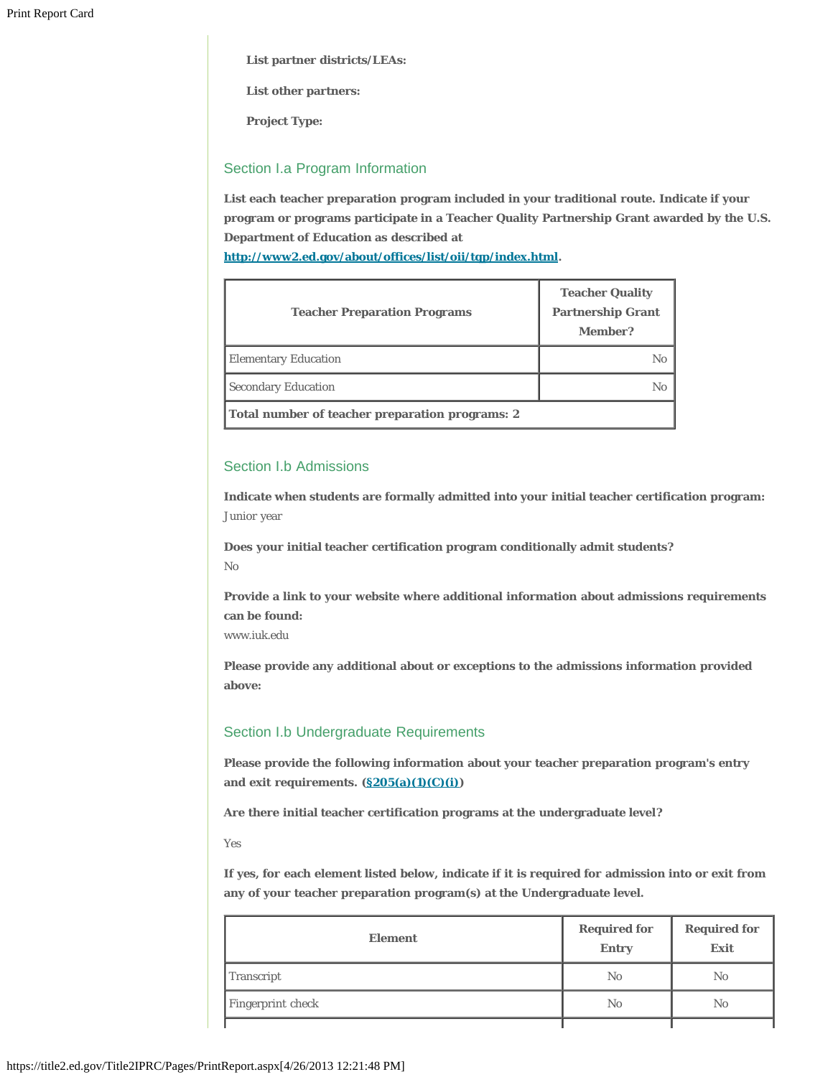**List partner districts/LEAs:**

**List other partners:**

**Project Type:**

# Section I.a Program Information

**List each teacher preparation program included in your traditional route. Indicate if your program or programs participate in a Teacher Quality Partnership Grant awarded by the U.S. Department of Education as described at**

**[http://www2.ed.gov/about/offices/list/oii/tqp/index.html.](http://www2.ed.gov/about/offices/list/oii/tqp/index.html)**

| <b>Teacher Preparation Programs</b>             | <b>Teacher Quality</b><br><b>Partnership Grant</b><br>Member? |
|-------------------------------------------------|---------------------------------------------------------------|
| <b>Elementary Education</b>                     | $\mathbb{N}_0$                                                |
| <b>Secondary Education</b>                      | No                                                            |
| Total number of teacher preparation programs: 2 |                                                               |

# Section I.b Admissions

**Indicate when students are formally admitted into your initial teacher certification program:**  Junior year

**Does your initial teacher certification program conditionally admit students?** No

**Provide a link to your website where additional information about admissions requirements can be found:**

www.iuk.edu

**Please provide any additional about or exceptions to the admissions information provided above:**

# Section I.b Undergraduate Requirements

**Please provide the following information about your teacher preparation program's entry and exit requirements. ([§205\(a\)\(1\)\(C\)\(i\)\)](http://frwebgate.access.gpo.gov/cgi-bin/getdoc.cgi?dbname=110_cong_public_laws&docid=f:publ315.110.pdf)**

**Are there initial teacher certification programs at the undergraduate level?**

Yes

**If yes, for each element listed below, indicate if it is required for admission into or exit from any of your teacher preparation program(s) at the Undergraduate level.**

| <b>Element</b>    | <b>Required for</b><br><b>Entry</b> | <b>Required for</b><br>Exit |
|-------------------|-------------------------------------|-----------------------------|
| Transcript        | No                                  | N <sub>0</sub>              |
| Fingerprint check | N <sub>0</sub>                      | No                          |
|                   |                                     |                             |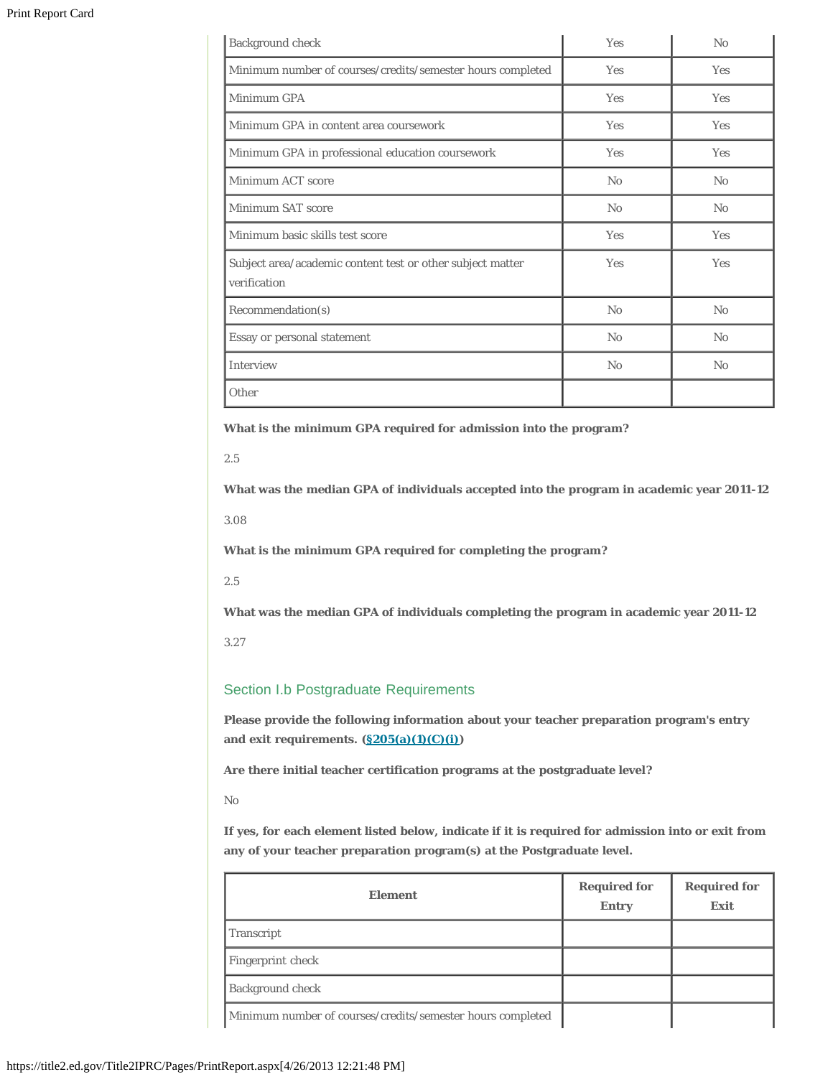| Background check                                                           | Yes        | No         |
|----------------------------------------------------------------------------|------------|------------|
| Minimum number of courses/credits/semester hours completed                 | Yes        | Yes        |
| Minimum GPA                                                                | <b>Yes</b> | <b>Yes</b> |
| Minimum GPA in content area coursework                                     | Yes        | Yes        |
| Minimum GPA in professional education coursework                           | Yes        | Yes        |
| Minimum ACT score                                                          | No         | No         |
| Minimum SAT score                                                          | No         | No         |
| Minimum basic skills test score                                            | Yes        | Yes        |
| Subject area/academic content test or other subject matter<br>verification | <b>Yes</b> | <b>Yes</b> |
| Recommendation(s)                                                          | No         | No         |
| Essay or personal statement                                                | No         | No         |
| Interview                                                                  | No         | No         |
| Other                                                                      |            |            |

**What is the minimum GPA required for admission into the program?**

2.5

**What was the median GPA of individuals accepted into the program in academic year 2011-12**

3.08

**What is the minimum GPA required for completing the program?**

2.5

**What was the median GPA of individuals completing the program in academic year 2011-12**

3.27

# Section I.b Postgraduate Requirements

**Please provide the following information about your teacher preparation program's entry and exit requirements. ([§205\(a\)\(1\)\(C\)\(i\)\)](http://frwebgate.access.gpo.gov/cgi-bin/getdoc.cgi?dbname=110_cong_public_laws&docid=f:publ315.110.pdf)**

**Are there initial teacher certification programs at the postgraduate level?**

No

**If yes, for each element listed below, indicate if it is required for admission into or exit from any of your teacher preparation program(s) at the Postgraduate level.**

| <b>Element</b>                                             | <b>Required for</b><br><b>Entry</b> | <b>Required for</b><br>Exit |
|------------------------------------------------------------|-------------------------------------|-----------------------------|
| Transcript                                                 |                                     |                             |
| Fingerprint check                                          |                                     |                             |
| <b>Background check</b>                                    |                                     |                             |
| Minimum number of courses/credits/semester hours completed |                                     |                             |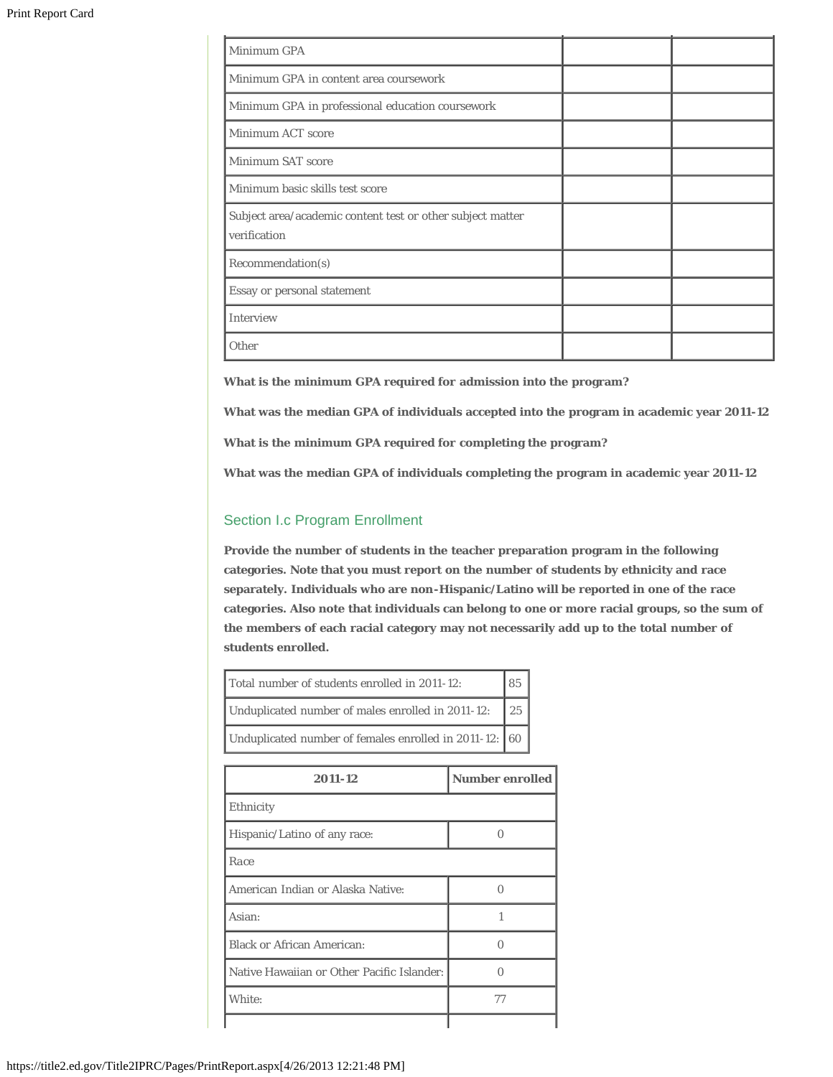| Minimum GPA                                                                |  |
|----------------------------------------------------------------------------|--|
| Minimum GPA in content area coursework                                     |  |
| Minimum GPA in professional education coursework                           |  |
| Minimum ACT score                                                          |  |
| Minimum SAT score                                                          |  |
| Minimum basic skills test score                                            |  |
| Subject area/academic content test or other subject matter<br>verification |  |
| Recommendation(s)                                                          |  |
| Essay or personal statement                                                |  |
| Interview                                                                  |  |
| Other                                                                      |  |

**What is the minimum GPA required for admission into the program?**

**What was the median GPA of individuals accepted into the program in academic year 2011-12**

**What is the minimum GPA required for completing the program?**

**What was the median GPA of individuals completing the program in academic year 2011-12**

# Section I.c Program Enrollment

**Provide the number of students in the teacher preparation program in the following categories. Note that you must report on the number of students by ethnicity and race separately. Individuals who are non-Hispanic/Latino will be reported in one of the race categories. Also note that individuals can belong to one or more racial groups, so the sum of the members of each racial category may not necessarily add up to the total number of students enrolled.**

| Total number of students enrolled in 2011-12:          | 85 |
|--------------------------------------------------------|----|
| Unduplicated number of males enrolled in 2011-12:      | 25 |
| Unduplicated number of females enrolled in 2011-12: 60 |    |

| 2011-12                                    | <b>Number enrolled</b> |
|--------------------------------------------|------------------------|
| Ethnicity                                  |                        |
| Hispanic/Latino of any race:               |                        |
| Race                                       |                        |
| American Indian or Alaska Native:          |                        |
| Asian:                                     |                        |
| <b>Black or African American:</b>          |                        |
| Native Hawaiian or Other Pacific Islander: |                        |
| White:                                     | 77                     |
|                                            |                        |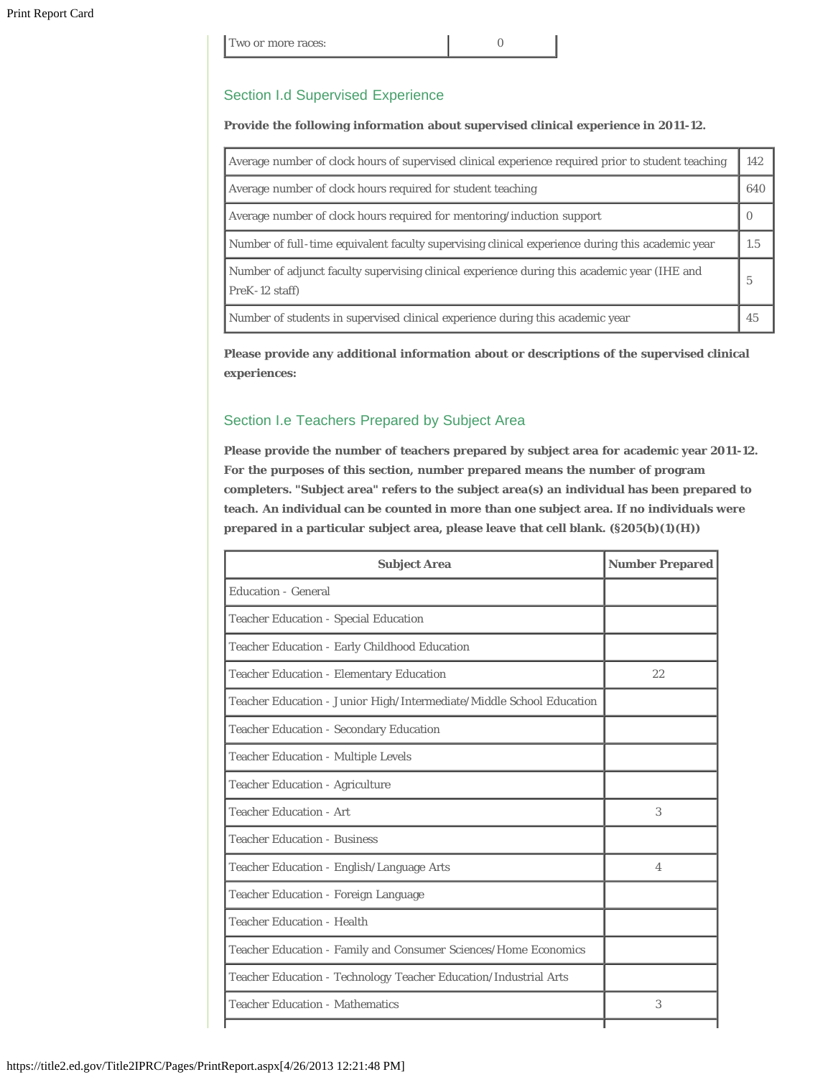| Two or more races: |  |
|--------------------|--|
|--------------------|--|

#### Section I.d Supervised Experience

#### **Provide the following information about supervised clinical experience in 2011-12.**

| Average number of clock hours of supervised clinical experience required prior to student teaching             | 142      |
|----------------------------------------------------------------------------------------------------------------|----------|
| Average number of clock hours required for student teaching                                                    | 640      |
| Average number of clock hours required for mentoring/induction support                                         | $\theta$ |
| Number of full-time equivalent faculty supervising clinical experience during this academic year               | 1.5      |
| Number of adjunct faculty supervising clinical experience during this academic year (IHE and<br>PreK-12 staff) | 5        |
| Number of students in supervised clinical experience during this academic year                                 | 45       |

**Please provide any additional information about or descriptions of the supervised clinical experiences:**

# Section I.e Teachers Prepared by Subject Area

**Please provide the number of teachers prepared by subject area for academic year 2011-12. For the purposes of this section, number prepared means the number of program completers. "Subject area" refers to the subject area(s) an individual has been prepared to teach. An individual can be counted in more than one subject area. If no individuals were prepared in a particular subject area, please leave that cell blank. (§205(b)(1)(H))**

| <b>Subject Area</b>                                                  | <b>Number Prepared</b> |
|----------------------------------------------------------------------|------------------------|
| <b>Education - General</b>                                           |                        |
| <b>Teacher Education - Special Education</b>                         |                        |
| Teacher Education - Early Childhood Education                        |                        |
| <b>Teacher Education - Elementary Education</b>                      | 22                     |
| Teacher Education - Junior High/Intermediate/Middle School Education |                        |
| <b>Teacher Education - Secondary Education</b>                       |                        |
| Teacher Education - Multiple Levels                                  |                        |
| <b>Teacher Education - Agriculture</b>                               |                        |
| <b>Teacher Education - Art</b>                                       | 3                      |
| <b>Teacher Education - Business</b>                                  |                        |
| Teacher Education - English/Language Arts                            | $\overline{4}$         |
| Teacher Education - Foreign Language                                 |                        |
| <b>Teacher Education - Health</b>                                    |                        |
| Teacher Education - Family and Consumer Sciences/Home Economics      |                        |
| Teacher Education - Technology Teacher Education/Industrial Arts     |                        |
| <b>Teacher Education - Mathematics</b>                               | 3                      |
|                                                                      |                        |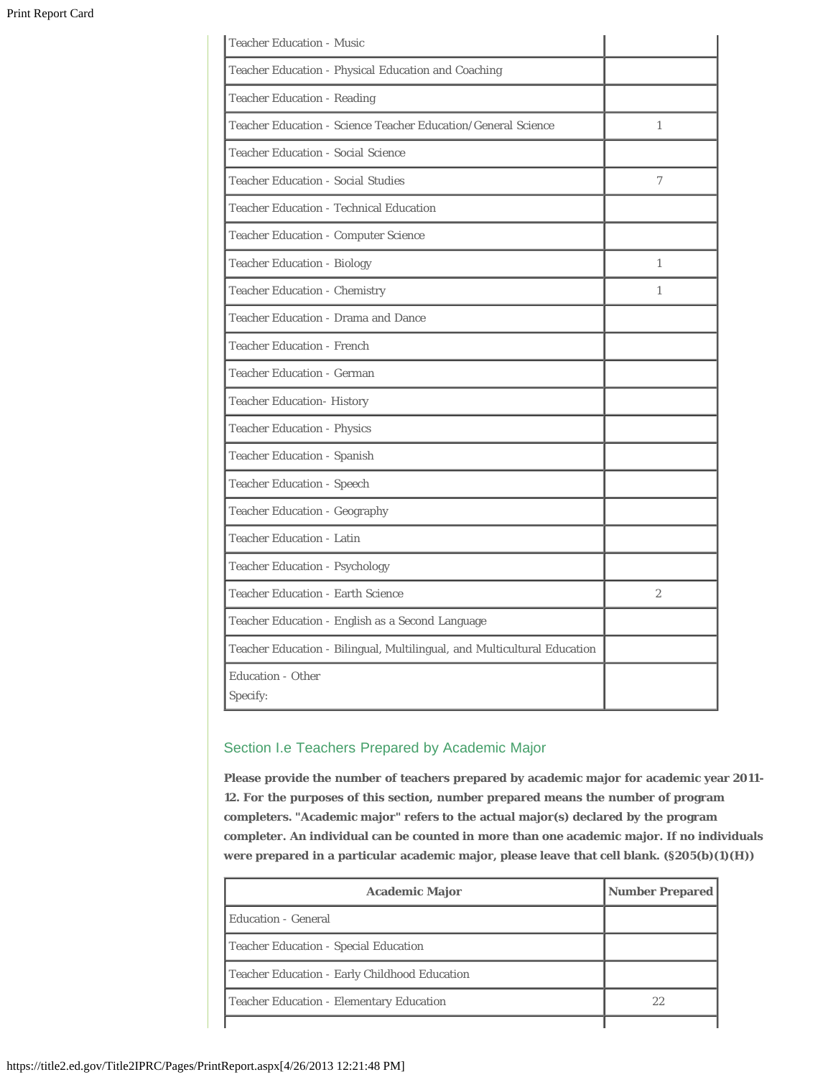| <b>Teacher Education - Music</b>                                         |              |
|--------------------------------------------------------------------------|--------------|
| Teacher Education - Physical Education and Coaching                      |              |
| <b>Teacher Education - Reading</b>                                       |              |
| Teacher Education - Science Teacher Education/General Science            | $\mathbf{1}$ |
| <b>Teacher Education - Social Science</b>                                |              |
| <b>Teacher Education - Social Studies</b>                                | 7            |
| <b>Teacher Education - Technical Education</b>                           |              |
| <b>Teacher Education - Computer Science</b>                              |              |
| <b>Teacher Education - Biology</b>                                       | $\mathbf{1}$ |
| <b>Teacher Education - Chemistry</b>                                     | $\mathbf{1}$ |
| Teacher Education - Drama and Dance                                      |              |
| <b>Teacher Education - French</b>                                        |              |
| <b>Teacher Education - German</b>                                        |              |
| <b>Teacher Education- History</b>                                        |              |
| <b>Teacher Education - Physics</b>                                       |              |
| <b>Teacher Education - Spanish</b>                                       |              |
| <b>Teacher Education - Speech</b>                                        |              |
| <b>Teacher Education - Geography</b>                                     |              |
| <b>Teacher Education - Latin</b>                                         |              |
| <b>Teacher Education - Psychology</b>                                    |              |
| <b>Teacher Education - Earth Science</b>                                 | $\mathbf{2}$ |
| Teacher Education - English as a Second Language                         |              |
| Teacher Education - Bilingual, Multilingual, and Multicultural Education |              |
| <b>Education - Other</b>                                                 |              |
| Specify:                                                                 |              |

# Section I.e Teachers Prepared by Academic Major

**Please provide the number of teachers prepared by academic major for academic year 2011- 12. For the purposes of this section, number prepared means the number of program completers. "Academic major" refers to the actual major(s) declared by the program completer. An individual can be counted in more than one academic major. If no individuals were prepared in a particular academic major, please leave that cell blank. (§205(b)(1)(H))**

| <b>Academic Major</b>                         | <b>Number Prepared</b> |
|-----------------------------------------------|------------------------|
| Education - General                           |                        |
| Teacher Education - Special Education         |                        |
| Teacher Education - Early Childhood Education |                        |
| Teacher Education - Elementary Education      | 22                     |
|                                               |                        |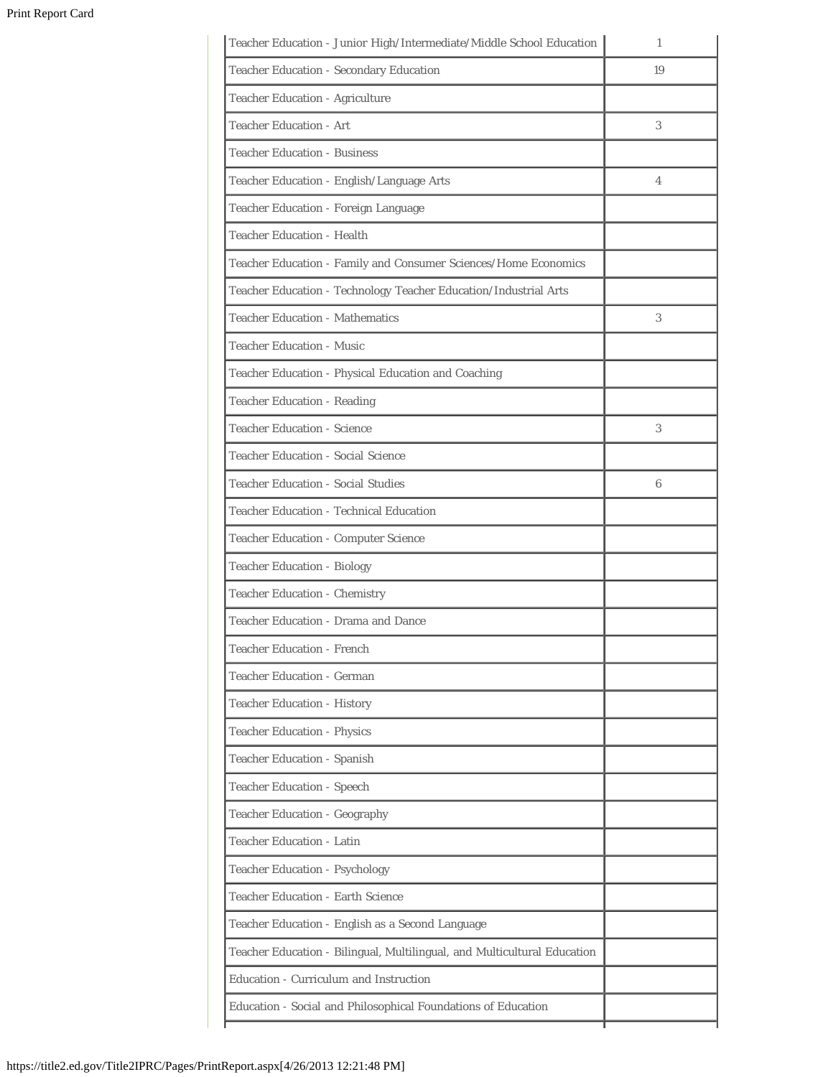| Teacher Education - Junior High/Intermediate/Middle School Education     | 1                        |
|--------------------------------------------------------------------------|--------------------------|
| Teacher Education - Secondary Education                                  | 19                       |
| Teacher Education - Agriculture                                          |                          |
| <b>Teacher Education - Art</b>                                           | 3                        |
| <b>Teacher Education - Business</b>                                      |                          |
| Teacher Education - English/Language Arts                                | $\overline{\mathcal{A}}$ |
| Teacher Education - Foreign Language                                     |                          |
| <b>Teacher Education - Health</b>                                        |                          |
| Teacher Education - Family and Consumer Sciences/Home Economics          |                          |
| Teacher Education - Technology Teacher Education/Industrial Arts         |                          |
| <b>Teacher Education - Mathematics</b>                                   | 3                        |
| <b>Teacher Education - Music</b>                                         |                          |
| Teacher Education - Physical Education and Coaching                      |                          |
| <b>Teacher Education - Reading</b>                                       |                          |
| <b>Teacher Education - Science</b>                                       | 3                        |
| <b>Teacher Education - Social Science</b>                                |                          |
| <b>Teacher Education - Social Studies</b>                                | 6                        |
| <b>Teacher Education - Technical Education</b>                           |                          |
| <b>Teacher Education - Computer Science</b>                              |                          |
| <b>Teacher Education - Biology</b>                                       |                          |
| <b>Teacher Education - Chemistry</b>                                     |                          |
| Teacher Education - Drama and Dance                                      |                          |
| <b>Teacher Education - French</b>                                        |                          |
| <b>Teacher Education - German</b>                                        |                          |
| <b>Teacher Education - History</b>                                       |                          |
| <b>Teacher Education - Physics</b>                                       |                          |
| <b>Teacher Education - Spanish</b>                                       |                          |
| <b>Teacher Education - Speech</b>                                        |                          |
| <b>Teacher Education - Geography</b>                                     |                          |
| Teacher Education - Latin                                                |                          |
| <b>Teacher Education - Psychology</b>                                    |                          |
| <b>Teacher Education - Earth Science</b>                                 |                          |
| Teacher Education - English as a Second Language                         |                          |
| Teacher Education - Bilingual, Multilingual, and Multicultural Education |                          |
| Education - Curriculum and Instruction                                   |                          |
| Education - Social and Philosophical Foundations of Education            |                          |
|                                                                          |                          |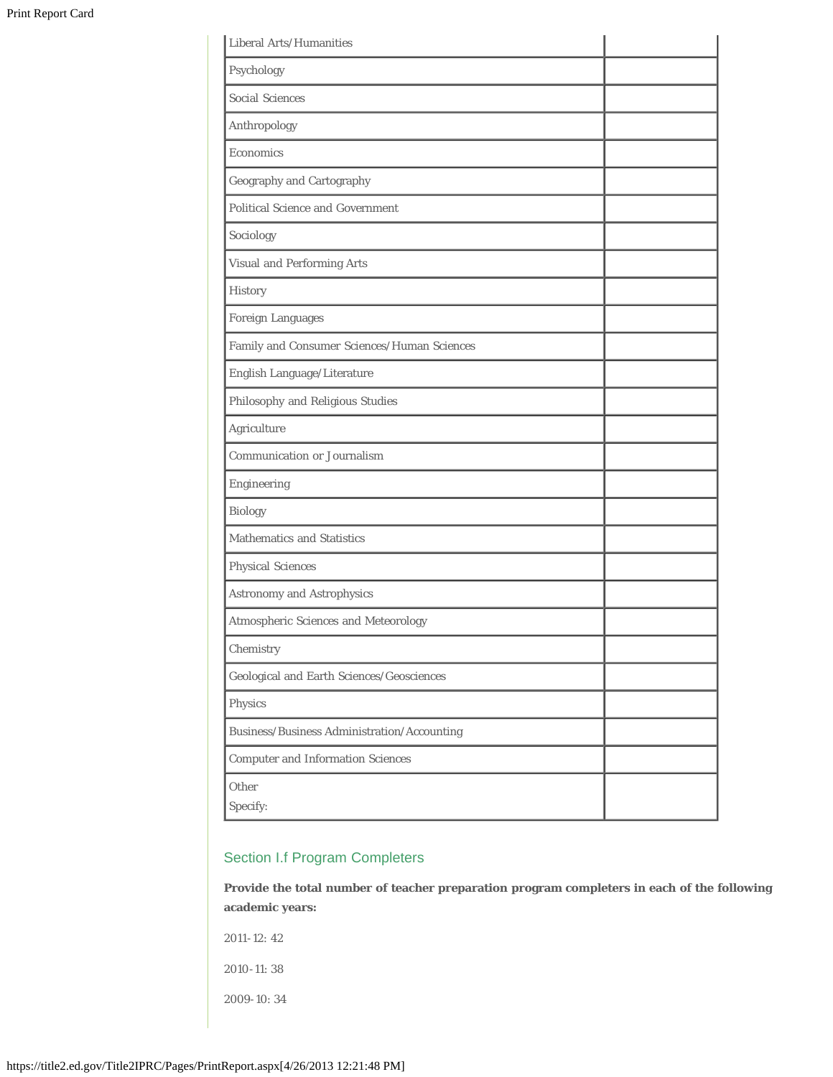| Liberal Arts/Humanities                     |  |
|---------------------------------------------|--|
| Psychology                                  |  |
| <b>Social Sciences</b>                      |  |
| Anthropology                                |  |
| Economics                                   |  |
| <b>Geography and Cartography</b>            |  |
| <b>Political Science and Government</b>     |  |
| Sociology                                   |  |
| Visual and Performing Arts                  |  |
| History                                     |  |
| <b>Foreign Languages</b>                    |  |
| Family and Consumer Sciences/Human Sciences |  |
| English Language/Literature                 |  |
| Philosophy and Religious Studies            |  |
| Agriculture                                 |  |
| <b>Communication or Journalism</b>          |  |
| Engineering                                 |  |
| <b>Biology</b>                              |  |
| <b>Mathematics and Statistics</b>           |  |
| Physical Sciences                           |  |
| Astronomy and Astrophysics                  |  |
| Atmospheric Sciences and Meteorology        |  |
| Chemistry                                   |  |
| Geological and Earth Sciences/Geosciences   |  |
| Physics                                     |  |
| Business/Business Administration/Accounting |  |
| <b>Computer and Information Sciences</b>    |  |
| Other<br>Specify:                           |  |
|                                             |  |

# Section I.f Program Completers

**Provide the total number of teacher preparation program completers in each of the following academic years:**

2011-12: 42

2010-11: 38

2009-10: 34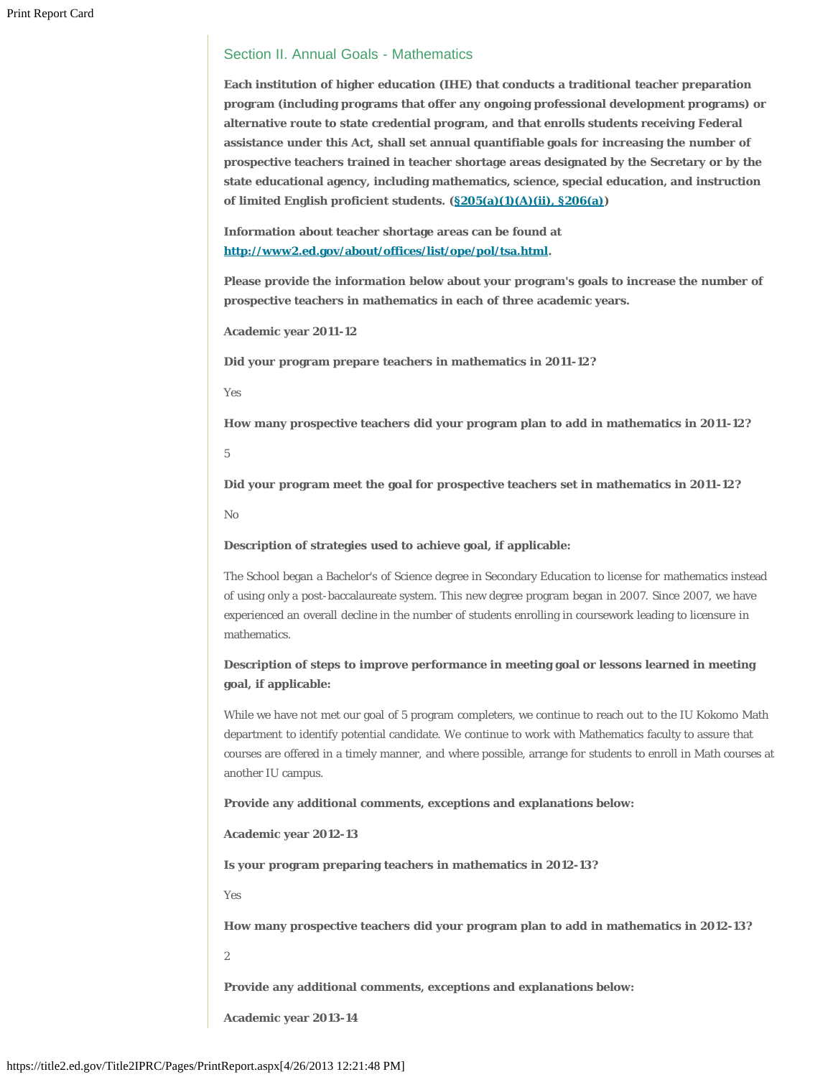#### Section II. Annual Goals - Mathematics

**Each institution of higher education (IHE) that conducts a traditional teacher preparation program (including programs that offer any ongoing professional development programs) or alternative route to state credential program, and that enrolls students receiving Federal assistance under this Act, shall set annual quantifiable goals for increasing the number of prospective teachers trained in teacher shortage areas designated by the Secretary or by the state educational agency, including mathematics, science, special education, and instruction of limited English proficient students. ([§205\(a\)\(1\)\(A\)\(ii\), §206\(a\)](http://frwebgate.access.gpo.gov/cgi-bin/getdoc.cgi?dbname=110_cong_public_laws&docid=f:publ315.110.pdf))**

**Information about teacher shortage areas can be found at [http://www2.ed.gov/about/offices/list/ope/pol/tsa.html.](http://www2.ed.gov/about/offices/list/ope/pol/tsa.html)**

**Please provide the information below about your program's goals to increase the number of prospective teachers in mathematics in each of three academic years.**

**Academic year 2011-12**

**Did your program prepare teachers in mathematics in 2011-12?**

Yes

**How many prospective teachers did your program plan to add in mathematics in 2011-12?**

5

**Did your program meet the goal for prospective teachers set in mathematics in 2011-12?**

No

**Description of strategies used to achieve goal, if applicable:**

The School began a Bachelor's of Science degree in Secondary Education to license for mathematics instead of using only a post-baccalaureate system. This new degree program began in 2007. Since 2007, we have experienced an overall decline in the number of students enrolling in coursework leading to licensure in mathematics.

# **Description of steps to improve performance in meeting goal or lessons learned in meeting goal, if applicable:**

While we have not met our goal of 5 program completers, we continue to reach out to the IU Kokomo Math department to identify potential candidate. We continue to work with Mathematics faculty to assure that courses are offered in a timely manner, and where possible, arrange for students to enroll in Math courses at another IU campus.

#### **Provide any additional comments, exceptions and explanations below:**

**Academic year 2012-13**

**Is your program preparing teachers in mathematics in 2012-13?**

Yes

**How many prospective teachers did your program plan to add in mathematics in 2012-13?**

2

**Provide any additional comments, exceptions and explanations below:**

**Academic year 2013-14**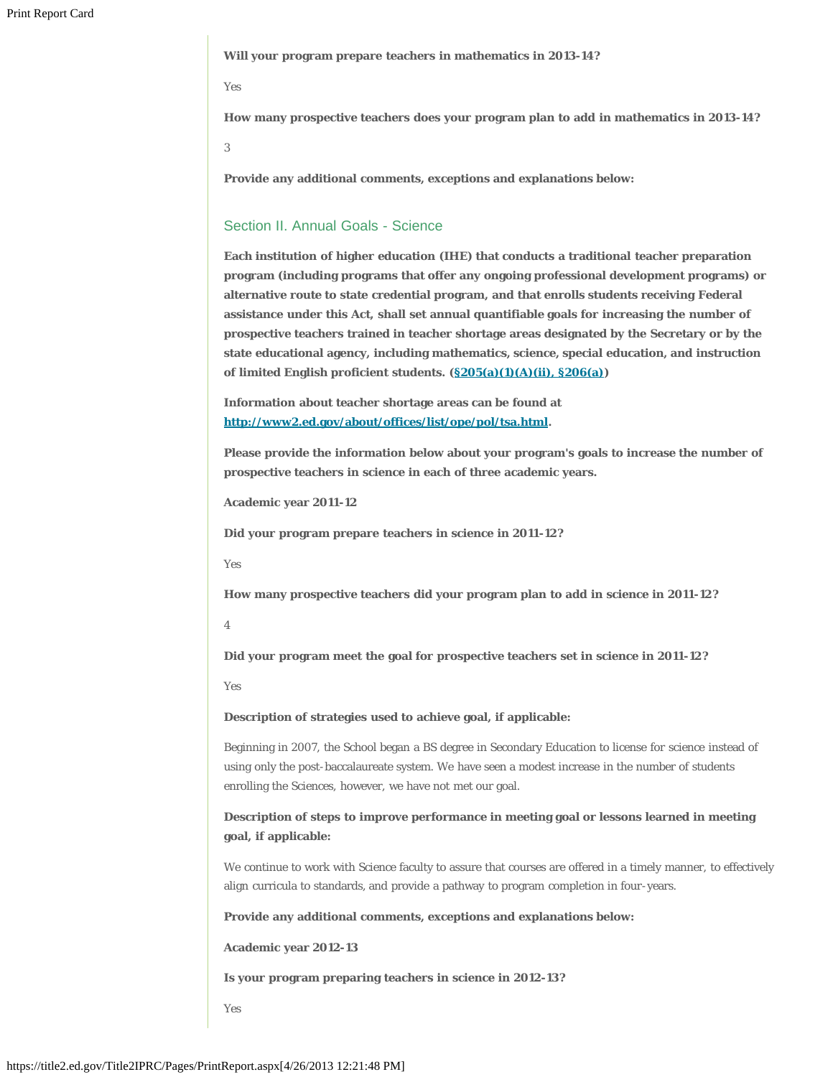**Will your program prepare teachers in mathematics in 2013-14?**

#### Yes

**How many prospective teachers does your program plan to add in mathematics in 2013-14?**

3

**Provide any additional comments, exceptions and explanations below:**

#### Section II. Annual Goals - Science

**Each institution of higher education (IHE) that conducts a traditional teacher preparation program (including programs that offer any ongoing professional development programs) or alternative route to state credential program, and that enrolls students receiving Federal assistance under this Act, shall set annual quantifiable goals for increasing the number of prospective teachers trained in teacher shortage areas designated by the Secretary or by the state educational agency, including mathematics, science, special education, and instruction of limited English proficient students. ([§205\(a\)\(1\)\(A\)\(ii\), §206\(a\)](http://frwebgate.access.gpo.gov/cgi-bin/getdoc.cgi?dbname=110_cong_public_laws&docid=f:publ315.110.pdf))**

**Information about teacher shortage areas can be found at [http://www2.ed.gov/about/offices/list/ope/pol/tsa.html.](http://www2.ed.gov/about/offices/list/ope/pol/tsa.html)**

**Please provide the information below about your program's goals to increase the number of prospective teachers in science in each of three academic years.**

**Academic year 2011-12**

**Did your program prepare teachers in science in 2011-12?**

Yes

**How many prospective teachers did your program plan to add in science in 2011-12?**

4

**Did your program meet the goal for prospective teachers set in science in 2011-12?**

Yes

**Description of strategies used to achieve goal, if applicable:**

Beginning in 2007, the School began a BS degree in Secondary Education to license for science instead of using only the post-baccalaureate system. We have seen a modest increase in the number of students enrolling the Sciences, however, we have not met our goal.

# **Description of steps to improve performance in meeting goal or lessons learned in meeting goal, if applicable:**

We continue to work with Science faculty to assure that courses are offered in a timely manner, to effectively align curricula to standards, and provide a pathway to program completion in four-years.

**Provide any additional comments, exceptions and explanations below:**

**Academic year 2012-13**

**Is your program preparing teachers in science in 2012-13?**

Yes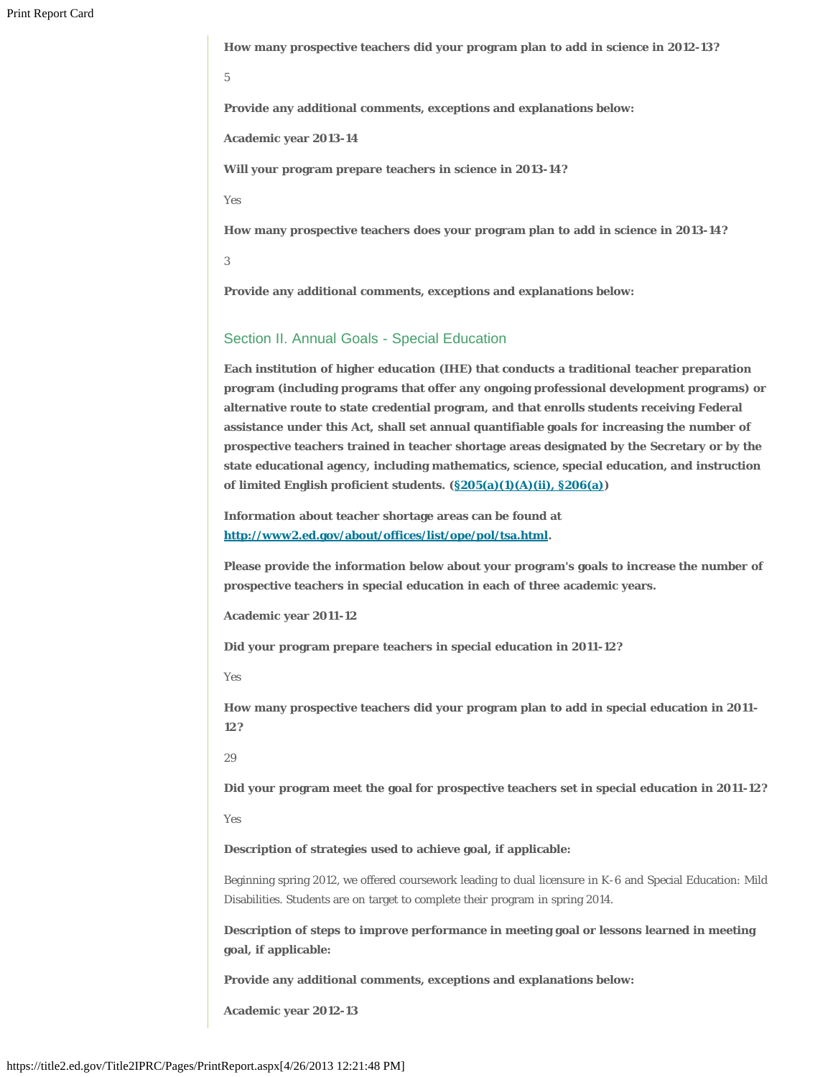**How many prospective teachers did your program plan to add in science in 2012-13?**

5

**Provide any additional comments, exceptions and explanations below:**

**Academic year 2013-14**

**Will your program prepare teachers in science in 2013-14?**

Yes

**How many prospective teachers does your program plan to add in science in 2013-14?**

3

**Provide any additional comments, exceptions and explanations below:**

#### Section II. Annual Goals - Special Education

**Each institution of higher education (IHE) that conducts a traditional teacher preparation program (including programs that offer any ongoing professional development programs) or alternative route to state credential program, and that enrolls students receiving Federal assistance under this Act, shall set annual quantifiable goals for increasing the number of prospective teachers trained in teacher shortage areas designated by the Secretary or by the state educational agency, including mathematics, science, special education, and instruction of limited English proficient students. ([§205\(a\)\(1\)\(A\)\(ii\), §206\(a\)](http://frwebgate.access.gpo.gov/cgi-bin/getdoc.cgi?dbname=110_cong_public_laws&docid=f:publ315.110.pdf))**

**Information about teacher shortage areas can be found at [http://www2.ed.gov/about/offices/list/ope/pol/tsa.html.](http://www2.ed.gov/about/offices/list/ope/pol/tsa.html)**

**Please provide the information below about your program's goals to increase the number of prospective teachers in special education in each of three academic years.**

**Academic year 2011-12**

**Did your program prepare teachers in special education in 2011-12?**

Yes

**How many prospective teachers did your program plan to add in special education in 2011- 12?**

29

**Did your program meet the goal for prospective teachers set in special education in 2011-12?**

Yes

**Description of strategies used to achieve goal, if applicable:**

Beginning spring 2012, we offered coursework leading to dual licensure in K-6 and Special Education: Mild Disabilities. Students are on target to complete their program in spring 2014.

**Description of steps to improve performance in meeting goal or lessons learned in meeting goal, if applicable:**

**Provide any additional comments, exceptions and explanations below:**

**Academic year 2012-13**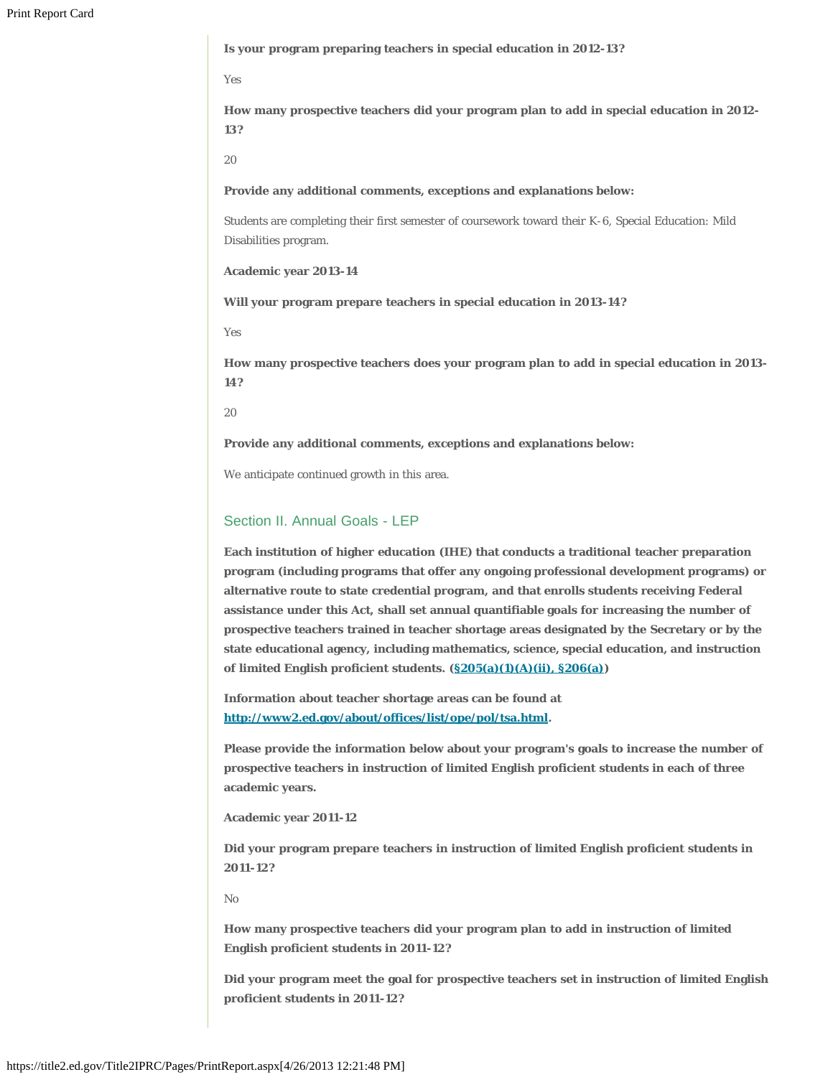**Is your program preparing teachers in special education in 2012-13?**

Yes

**How many prospective teachers did your program plan to add in special education in 2012- 13?**

20

**Provide any additional comments, exceptions and explanations below:**

Students are completing their first semester of coursework toward their K-6, Special Education: Mild Disabilities program.

**Academic year 2013-14**

**Will your program prepare teachers in special education in 2013-14?**

Yes

**How many prospective teachers does your program plan to add in special education in 2013- 14?**

20

**Provide any additional comments, exceptions and explanations below:**

We anticipate continued growth in this area.

#### Section II. Annual Goals - LEP

**Each institution of higher education (IHE) that conducts a traditional teacher preparation program (including programs that offer any ongoing professional development programs) or alternative route to state credential program, and that enrolls students receiving Federal assistance under this Act, shall set annual quantifiable goals for increasing the number of prospective teachers trained in teacher shortage areas designated by the Secretary or by the state educational agency, including mathematics, science, special education, and instruction of limited English proficient students. ([§205\(a\)\(1\)\(A\)\(ii\), §206\(a\)](http://frwebgate.access.gpo.gov/cgi-bin/getdoc.cgi?dbname=110_cong_public_laws&docid=f:publ315.110.pdf))**

**Information about teacher shortage areas can be found at [http://www2.ed.gov/about/offices/list/ope/pol/tsa.html.](http://www2.ed.gov/about/offices/list/ope/pol/tsa.html)**

**Please provide the information below about your program's goals to increase the number of prospective teachers in instruction of limited English proficient students in each of three academic years.**

**Academic year 2011-12**

**Did your program prepare teachers in instruction of limited English proficient students in 2011-12?**

No

**How many prospective teachers did your program plan to add in instruction of limited English proficient students in 2011-12?**

**Did your program meet the goal for prospective teachers set in instruction of limited English proficient students in 2011-12?**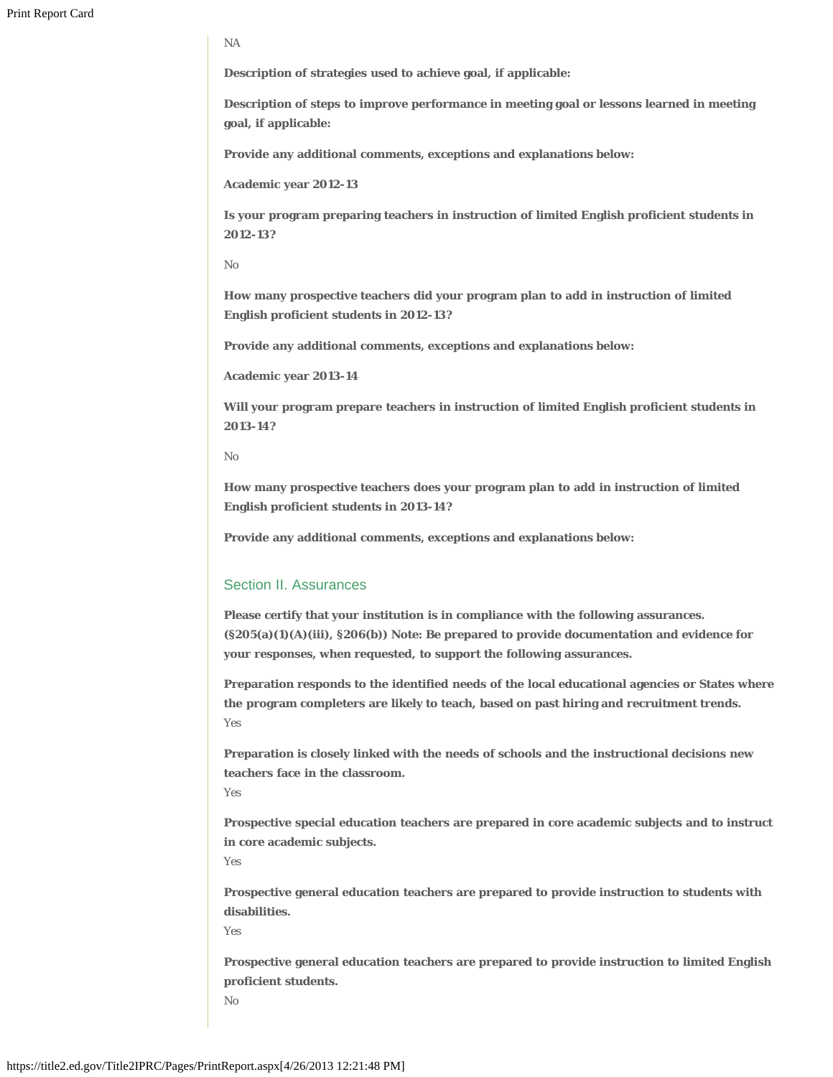NA

**Description of strategies used to achieve goal, if applicable:**

**Description of steps to improve performance in meeting goal or lessons learned in meeting goal, if applicable:**

**Provide any additional comments, exceptions and explanations below:**

**Academic year 2012-13**

**Is your program preparing teachers in instruction of limited English proficient students in 2012-13?**

No

**How many prospective teachers did your program plan to add in instruction of limited English proficient students in 2012-13?**

**Provide any additional comments, exceptions and explanations below:**

**Academic year 2013-14**

**Will your program prepare teachers in instruction of limited English proficient students in 2013-14?**

No

**How many prospective teachers does your program plan to add in instruction of limited English proficient students in 2013-14?**

**Provide any additional comments, exceptions and explanations below:**

# Section II. Assurances

**Please certify that your institution is in compliance with the following assurances. (§205(a)(1)(A)(iii), §206(b)) Note: Be prepared to provide documentation and evidence for your responses, when requested, to support the following assurances.**

**Preparation responds to the identified needs of the local educational agencies or States where the program completers are likely to teach, based on past hiring and recruitment trends.** Yes

**Preparation is closely linked with the needs of schools and the instructional decisions new teachers face in the classroom.** 

Yes

**Prospective special education teachers are prepared in core academic subjects and to instruct in core academic subjects.**

Yes

**Prospective general education teachers are prepared to provide instruction to students with disabilities.**

Yes

**Prospective general education teachers are prepared to provide instruction to limited English proficient students.**  No

https://title2.ed.gov/Title2IPRC/Pages/PrintReport.aspx[4/26/2013 12:21:48 PM]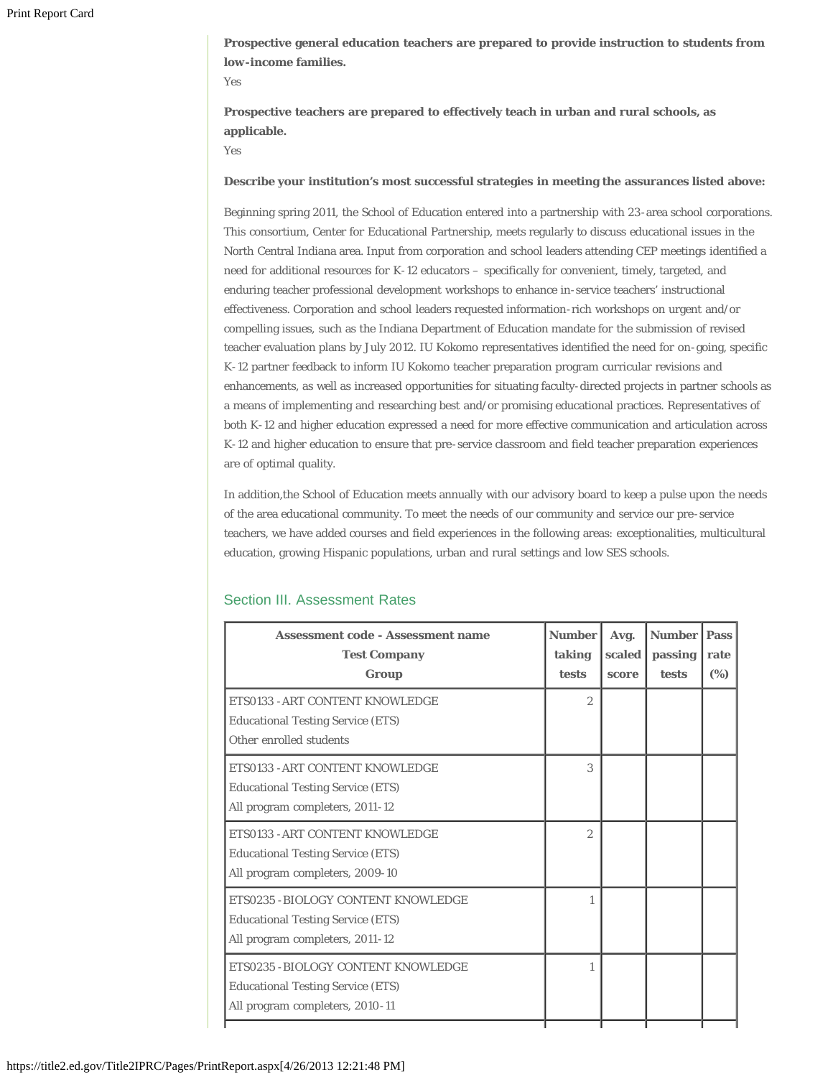**Prospective general education teachers are prepared to provide instruction to students from low-income families.**

Yes

**Prospective teachers are prepared to effectively teach in urban and rural schools, as applicable.**

Yes

#### **Describe your institution's most successful strategies in meeting the assurances listed above:**

Beginning spring 2011, the School of Education entered into a partnership with 23-area school corporations. This consortium, Center for Educational Partnership, meets regularly to discuss educational issues in the North Central Indiana area. Input from corporation and school leaders attending CEP meetings identified a need for additional resources for K-12 educators – specifically for convenient, timely, targeted, and enduring teacher professional development workshops to enhance in-service teachers' instructional effectiveness. Corporation and school leaders requested information-rich workshops on urgent and/or compelling issues, such as the Indiana Department of Education mandate for the submission of revised teacher evaluation plans by July 2012. IU Kokomo representatives identified the need for on-going, specific K-12 partner feedback to inform IU Kokomo teacher preparation program curricular revisions and enhancements, as well as increased opportunities for situating faculty-directed projects in partner schools as a means of implementing and researching best and/or promising educational practices. Representatives of both K-12 and higher education expressed a need for more effective communication and articulation across K-12 and higher education to ensure that pre-service classroom and field teacher preparation experiences are of optimal quality.

In addition,the School of Education meets annually with our advisory board to keep a pulse upon the needs of the area educational community. To meet the needs of our community and service our pre-service teachers, we have added courses and field experiences in the following areas: exceptionalities, multicultural education, growing Hispanic populations, urban and rural settings and low SES schools.

| <b>Assessment code - Assessment name</b><br><b>Test Company</b> | <b>Number</b><br>taking | Avg.<br>scaled | <b>Number</b><br>passing | <b>Pass</b><br>rate |
|-----------------------------------------------------------------|-------------------------|----------------|--------------------------|---------------------|
| Group                                                           | tests                   | score          | tests                    | (%)                 |
| ETS0133 - ART CONTENT KNOWLEDGE                                 | $\overline{2}$          |                |                          |                     |
| <b>Educational Testing Service (ETS)</b>                        |                         |                |                          |                     |
| Other enrolled students                                         |                         |                |                          |                     |
| ETS0133 - ART CONTENT KNOWLEDGE                                 | 3                       |                |                          |                     |
| <b>Educational Testing Service (ETS)</b>                        |                         |                |                          |                     |
| All program completers, 2011-12                                 |                         |                |                          |                     |
| ETS0133 - ART CONTENT KNOWLEDGE                                 | $\overline{2}$          |                |                          |                     |
| <b>Educational Testing Service (ETS)</b>                        |                         |                |                          |                     |
| All program completers, 2009-10                                 |                         |                |                          |                     |
| ETS0235 - BIOLOGY CONTENT KNOWLEDGE                             |                         |                |                          |                     |
| <b>Educational Testing Service (ETS)</b>                        |                         |                |                          |                     |
| All program completers, 2011-12                                 |                         |                |                          |                     |
| ETS0235 - BIOLOGY CONTENT KNOWLEDGE                             | 1                       |                |                          |                     |
| <b>Educational Testing Service (ETS)</b>                        |                         |                |                          |                     |
| All program completers, 2010-11                                 |                         |                |                          |                     |
|                                                                 |                         |                |                          |                     |

#### Section III. Assessment Rates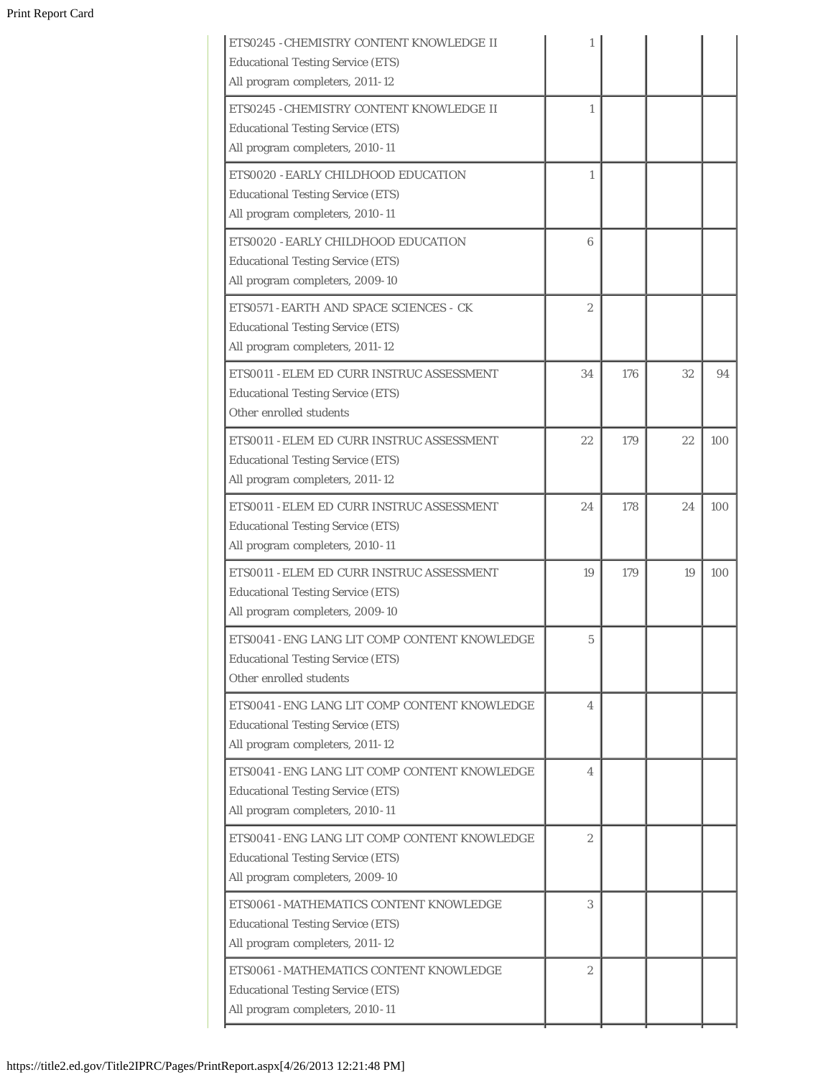# Print Report Card

| ETS0245 - CHEMISTRY CONTENT KNOWLEDGE II<br><b>Educational Testing Service (ETS)</b><br>All program completers, 2011-12      | 1              |     |    |     |
|------------------------------------------------------------------------------------------------------------------------------|----------------|-----|----|-----|
| ETS0245 - CHEMISTRY CONTENT KNOWLEDGE II<br><b>Educational Testing Service (ETS)</b><br>All program completers, 2010-11      | 1              |     |    |     |
| ETS0020 - EARLY CHILDHOOD EDUCATION<br><b>Educational Testing Service (ETS)</b><br>All program completers, 2010-11           | 1              |     |    |     |
| ETS0020 - EARLY CHILDHOOD EDUCATION<br><b>Educational Testing Service (ETS)</b><br>All program completers, 2009-10           | 6              |     |    |     |
| ETS0571 - EARTH AND SPACE SCIENCES - CK<br><b>Educational Testing Service (ETS)</b><br>All program completers, 2011-12       | $\overline{2}$ |     |    |     |
| ETS0011 - ELEM ED CURR INSTRUC ASSESSMENT<br><b>Educational Testing Service (ETS)</b><br>Other enrolled students             | 34             | 176 | 32 | 94  |
| ETS0011 - ELEM ED CURR INSTRUC ASSESSMENT<br><b>Educational Testing Service (ETS)</b><br>All program completers, 2011-12     | 22             | 179 | 22 | 100 |
| ETS0011 - ELEM ED CURR INSTRUC ASSESSMENT<br><b>Educational Testing Service (ETS)</b><br>All program completers, 2010-11     | 24             | 178 | 24 | 100 |
| ETS0011 - ELEM ED CURR INSTRUC ASSESSMENT<br><b>Educational Testing Service (ETS)</b><br>All program completers, 2009-10     | 19             | 179 | 19 | 100 |
| ETS0041 - ENG LANG LIT COMP CONTENT KNOWLEDGE<br><b>Educational Testing Service (ETS)</b><br>Other enrolled students         | 5              |     |    |     |
| ETS0041 - ENG LANG LIT COMP CONTENT KNOWLEDGE<br><b>Educational Testing Service (ETS)</b><br>All program completers, 2011-12 | 4              |     |    |     |
| ETS0041 - ENG LANG LIT COMP CONTENT KNOWLEDGE<br><b>Educational Testing Service (ETS)</b><br>All program completers, 2010-11 | 4              |     |    |     |
| ETS0041 - ENG LANG LIT COMP CONTENT KNOWLEDGE<br><b>Educational Testing Service (ETS)</b><br>All program completers, 2009-10 | $\overline{c}$ |     |    |     |
| ETS0061 - MATHEMATICS CONTENT KNOWLEDGE<br><b>Educational Testing Service (ETS)</b><br>All program completers, 2011-12       | 3              |     |    |     |
| ETS0061 - MATHEMATICS CONTENT KNOWLEDGE<br><b>Educational Testing Service (ETS)</b><br>All program completers, 2010-11       | $\overline{2}$ |     |    |     |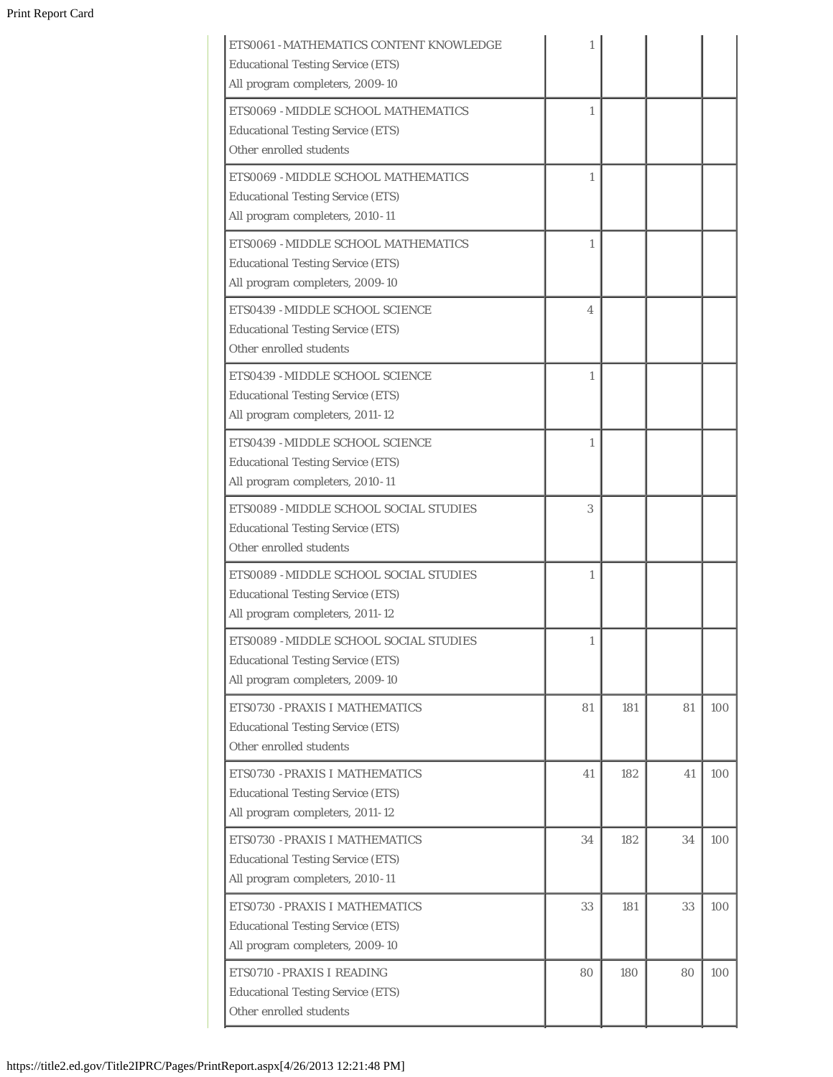| ETS0061 - MATHEMATICS CONTENT KNOWLEDGE<br><b>Educational Testing Service (ETS)</b><br>All program completers, 2009-10 | 1                        |     |    |     |
|------------------------------------------------------------------------------------------------------------------------|--------------------------|-----|----|-----|
| ETS0069 - MIDDLE SCHOOL MATHEMATICS<br><b>Educational Testing Service (ETS)</b><br>Other enrolled students             | $\mathbf{1}$             |     |    |     |
| ETS0069 - MIDDLE SCHOOL MATHEMATICS<br><b>Educational Testing Service (ETS)</b><br>All program completers, 2010-11     | 1                        |     |    |     |
| ETS0069 - MIDDLE SCHOOL MATHEMATICS<br><b>Educational Testing Service (ETS)</b><br>All program completers, 2009-10     | 1                        |     |    |     |
| ETS0439 - MIDDLE SCHOOL SCIENCE<br><b>Educational Testing Service (ETS)</b><br>Other enrolled students                 | $\overline{\mathcal{A}}$ |     |    |     |
| ETS0439 - MIDDLE SCHOOL SCIENCE<br><b>Educational Testing Service (ETS)</b><br>All program completers, 2011-12         | 1                        |     |    |     |
| ETS0439 - MIDDLE SCHOOL SCIENCE<br><b>Educational Testing Service (ETS)</b><br>All program completers, 2010-11         | 1                        |     |    |     |
| <b>ETS0089 - MIDDLE SCHOOL SOCIAL STUDIES</b><br><b>Educational Testing Service (ETS)</b><br>Other enrolled students   | 3                        |     |    |     |
| ETS0089 - MIDDLE SCHOOL SOCIAL STUDIES<br><b>Educational Testing Service (ETS)</b><br>All program completers, 2011-12  | 1                        |     |    |     |
| ETS0089 - MIDDLE SCHOOL SOCIAL STUDIES<br><b>Educational Testing Service (ETS)</b><br>All program completers, 2009-10  |                          |     |    |     |
| ETS0730 - PRAXIS I MATHEMATICS<br><b>Educational Testing Service (ETS)</b><br>Other enrolled students                  | 81                       | 181 | 81 | 100 |
| ETS0730 - PRAXIS I MATHEMATICS<br><b>Educational Testing Service (ETS)</b><br>All program completers, 2011-12          | 41                       | 182 | 41 | 100 |
| ETS0730 - PRAXIS I MATHEMATICS<br><b>Educational Testing Service (ETS)</b><br>All program completers, 2010-11          | 34                       | 182 | 34 | 100 |
| ETS0730 - PRAXIS I MATHEMATICS<br><b>Educational Testing Service (ETS)</b><br>All program completers, 2009-10          | 33                       | 181 | 33 | 100 |
| ETS0710 - PRAXIS I READING<br><b>Educational Testing Service (ETS)</b><br>Other enrolled students                      | 80                       | 180 | 80 | 100 |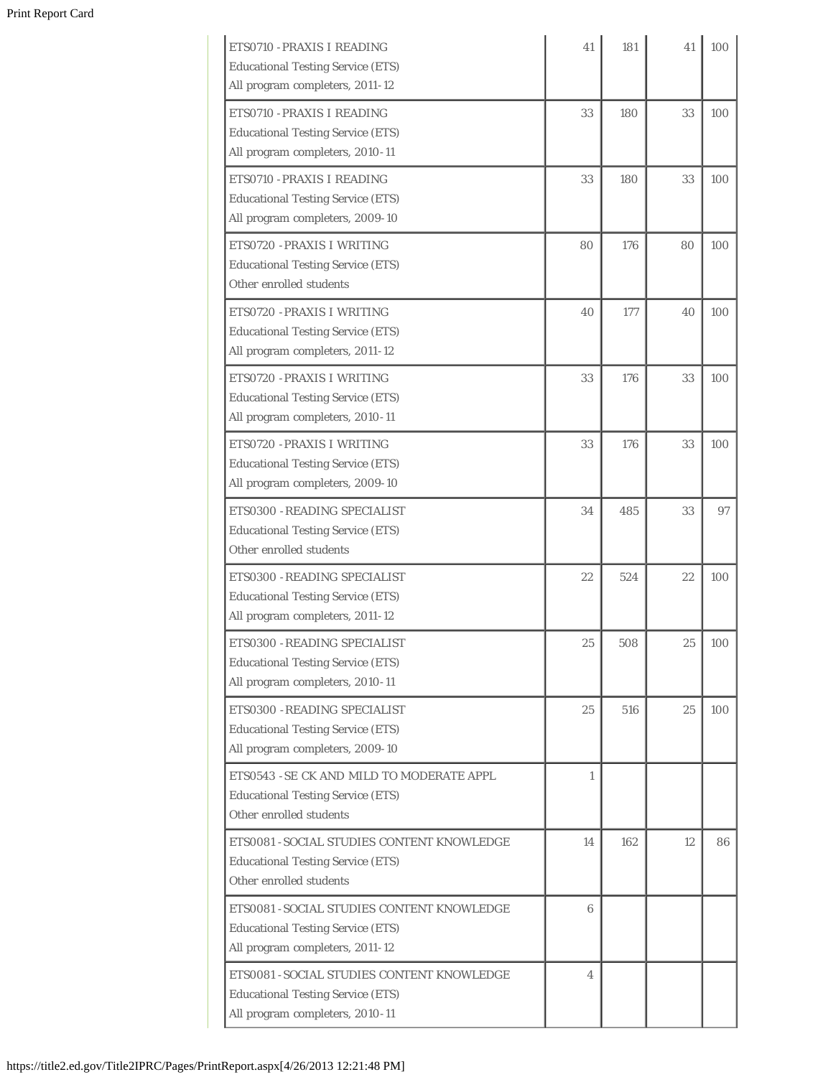| ETS0710 - PRAXIS I READING<br><b>Educational Testing Service (ETS)</b><br>All program completers, 2011-12                 | 41     | 181 | 41 | 100 |
|---------------------------------------------------------------------------------------------------------------------------|--------|-----|----|-----|
| ETS0710 - PRAXIS I READING<br><b>Educational Testing Service (ETS)</b><br>All program completers, 2010-11                 | 33     | 180 | 33 | 100 |
| ETS0710 - PRAXIS I READING<br><b>Educational Testing Service (ETS)</b><br>All program completers, 2009-10                 | 33     | 180 | 33 | 100 |
| ETS0720 - PRAXIS I WRITING<br><b>Educational Testing Service (ETS)</b><br>Other enrolled students                         | 80     | 176 | 80 | 100 |
| ETS0720 - PRAXIS I WRITING<br><b>Educational Testing Service (ETS)</b><br>All program completers, 2011-12                 | 40     | 177 | 40 | 100 |
| ETS0720 - PRAXIS I WRITING<br><b>Educational Testing Service (ETS)</b><br>All program completers, 2010-11                 | 33     | 176 | 33 | 100 |
| ETS0720 - PRAXIS I WRITING<br><b>Educational Testing Service (ETS)</b><br>All program completers, 2009-10                 | 33     | 176 | 33 | 100 |
| ETS0300 - READING SPECIALIST<br><b>Educational Testing Service (ETS)</b><br>Other enrolled students                       | 34     | 485 | 33 | 97  |
| ETS0300 - READING SPECIALIST<br><b>Educational Testing Service (ETS)</b><br>All program completers, 2011-12               | 22     | 524 | 22 | 100 |
| ETS0300 - READING SPECIALIST<br><b>Educational Testing Service (ETS)</b><br>All program completers, 2010-11               | $25\,$ | 508 | 25 | 100 |
| ETS0300 - READING SPECIALIST<br><b>Educational Testing Service (ETS)</b><br>All program completers, 2009-10               | 25     | 516 | 25 | 100 |
| ETS0543 - SE CK AND MILD TO MODERATE APPL<br><b>Educational Testing Service (ETS)</b><br>Other enrolled students          | 1      |     |    |     |
| ETS0081 - SOCIAL STUDIES CONTENT KNOWLEDGE<br><b>Educational Testing Service (ETS)</b><br>Other enrolled students         | 14     | 162 | 12 | 86  |
| ETS0081 - SOCIAL STUDIES CONTENT KNOWLEDGE<br><b>Educational Testing Service (ETS)</b><br>All program completers, 2011-12 | 6      |     |    |     |
| ETS0081 - SOCIAL STUDIES CONTENT KNOWLEDGE<br><b>Educational Testing Service (ETS)</b><br>All program completers, 2010-11 | 4      |     |    |     |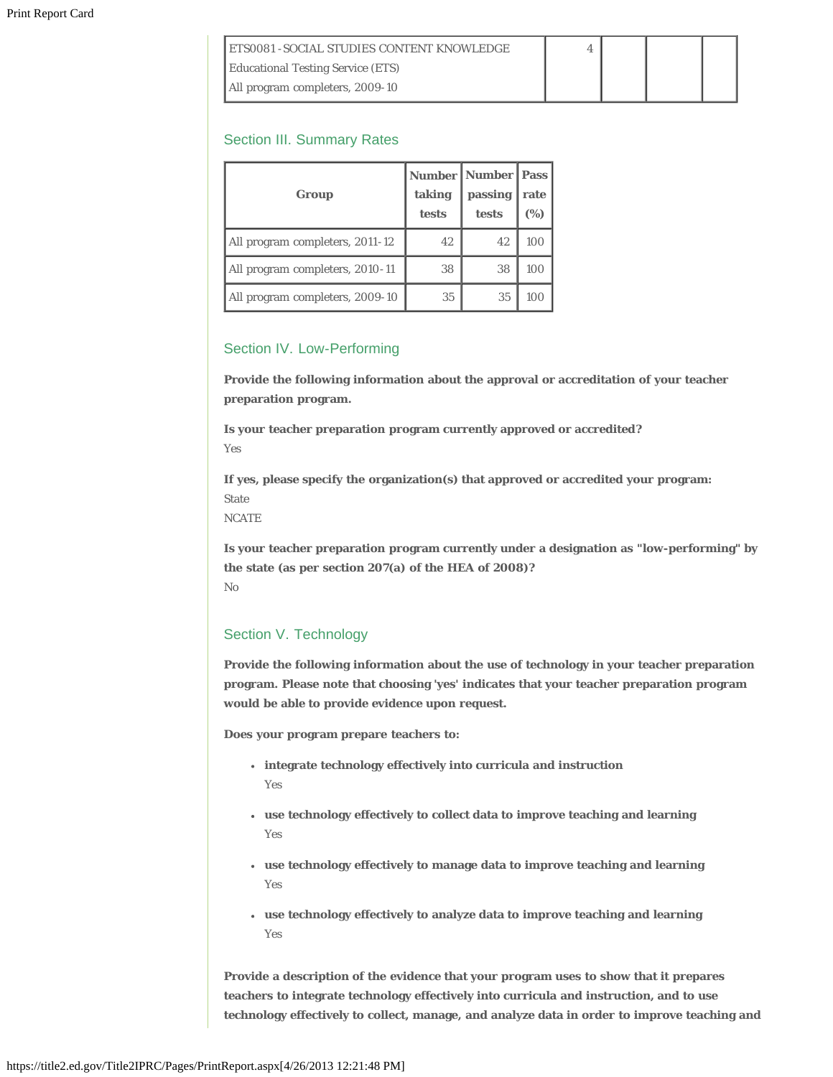| <b>IETS0081 - SOCIAL STUDIES CONTENT KNOWLEDGE</b> |  |  |
|----------------------------------------------------|--|--|
| <b>Educational Testing Service (ETS)</b>           |  |  |
| All program completers, 2009-10                    |  |  |

# Section III. Summary Rates

| Group                           | taking<br>tests | <b>Number   Number   Pass</b><br>passing<br>tests | rate<br>(%) |
|---------------------------------|-----------------|---------------------------------------------------|-------------|
| All program completers, 2011-12 | 42              | 42                                                | 100         |
| All program completers, 2010-11 | 38              | 38                                                | 100         |
| All program completers, 2009-10 | 35              | 35                                                | 100         |

# Section IV. Low-Performing

**Provide the following information about the approval or accreditation of your teacher preparation program.**

**Is your teacher preparation program currently approved or accredited?** Yes

**If yes, please specify the organization(s) that approved or accredited your program:** State

**NCATE** 

**Is your teacher preparation program currently under a designation as "low-performing" by the state (as per section 207(a) of the HEA of 2008)?** No

# Section V. Technology

**Provide the following information about the use of technology in your teacher preparation program. Please note that choosing 'yes' indicates that your teacher preparation program would be able to provide evidence upon request.**

**Does your program prepare teachers to:**

- **integrate technology effectively into curricula and instruction** Yes
- **use technology effectively to collect data to improve teaching and learning** Yes
- **use technology effectively to manage data to improve teaching and learning** Yes
- **use technology effectively to analyze data to improve teaching and learning** Yes

**Provide a description of the evidence that your program uses to show that it prepares teachers to integrate technology effectively into curricula and instruction, and to use technology effectively to collect, manage, and analyze data in order to improve teaching and**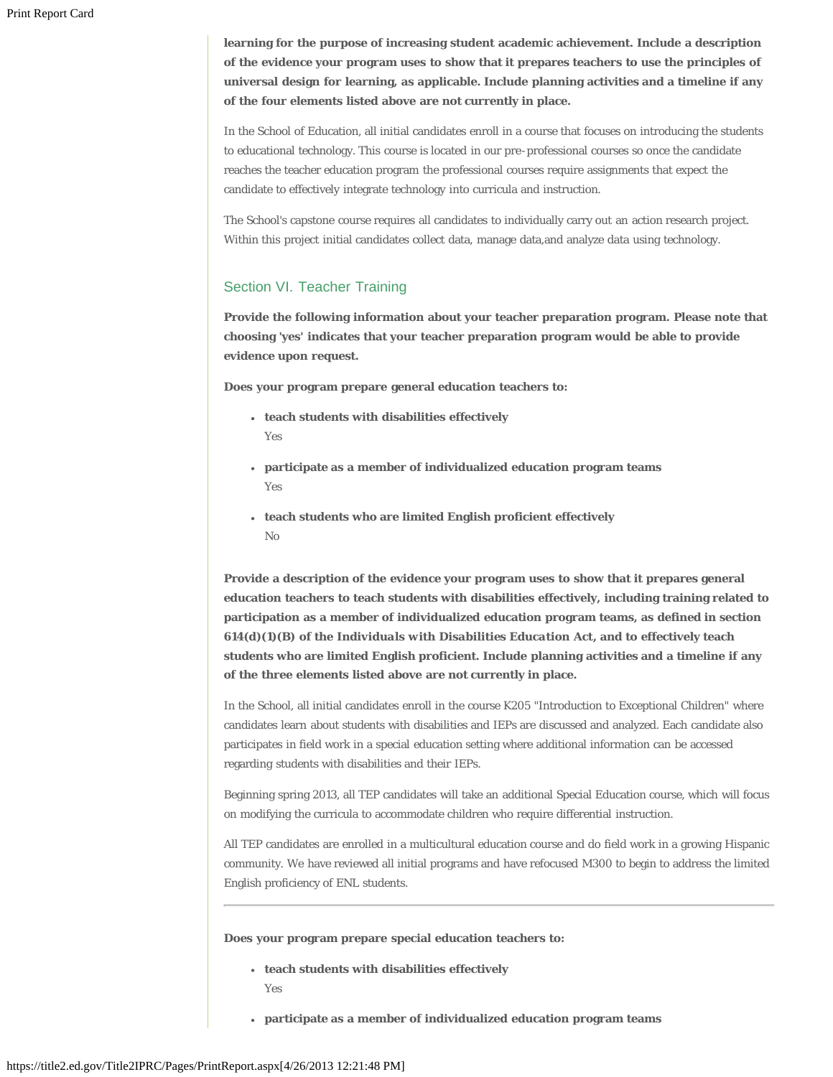**learning for the purpose of increasing student academic achievement. Include a description of the evidence your program uses to show that it prepares teachers to use the principles of universal design for learning, as applicable. Include planning activities and a timeline if any of the four elements listed above are not currently in place.**

In the School of Education, all initial candidates enroll in a course that focuses on introducing the students to educational technology. This course is located in our pre-professional courses so once the candidate reaches the teacher education program the professional courses require assignments that expect the candidate to effectively integrate technology into curricula and instruction.

The School's capstone course requires all candidates to individually carry out an action research project. Within this project initial candidates collect data, manage data,and analyze data using technology.

# Section VI. Teacher Training

**Provide the following information about your teacher preparation program. Please note that choosing 'yes' indicates that your teacher preparation program would be able to provide evidence upon request.**

**Does your program prepare general education teachers to:**

- **teach students with disabilities effectively** Yes
- **participate as a member of individualized education program teams** Yes
- **teach students who are limited English proficient effectively** No

**Provide a description of the evidence your program uses to show that it prepares general education teachers to teach students with disabilities effectively, including training related to participation as a member of individualized education program teams, as defined in section 614(d)(1)(B) of the** *Individuals with Disabilities Education Act***, and to effectively teach students who are limited English proficient. Include planning activities and a timeline if any of the three elements listed above are not currently in place.**

In the School, all initial candidates enroll in the course K205 "Introduction to Exceptional Children" where candidates learn about students with disabilities and IEPs are discussed and analyzed. Each candidate also participates in field work in a special education setting where additional information can be accessed regarding students with disabilities and their IEPs.

Beginning spring 2013, all TEP candidates will take an additional Special Education course, which will focus on modifying the curricula to accommodate children who require differential instruction.

All TEP candidates are enrolled in a multicultural education course and do field work in a growing Hispanic community. We have reviewed all initial programs and have refocused M300 to begin to address the limited English proficiency of ENL students.

**Does your program prepare special education teachers to:**

- **teach students with disabilities effectively** Yes
- **participate as a member of individualized education program teams**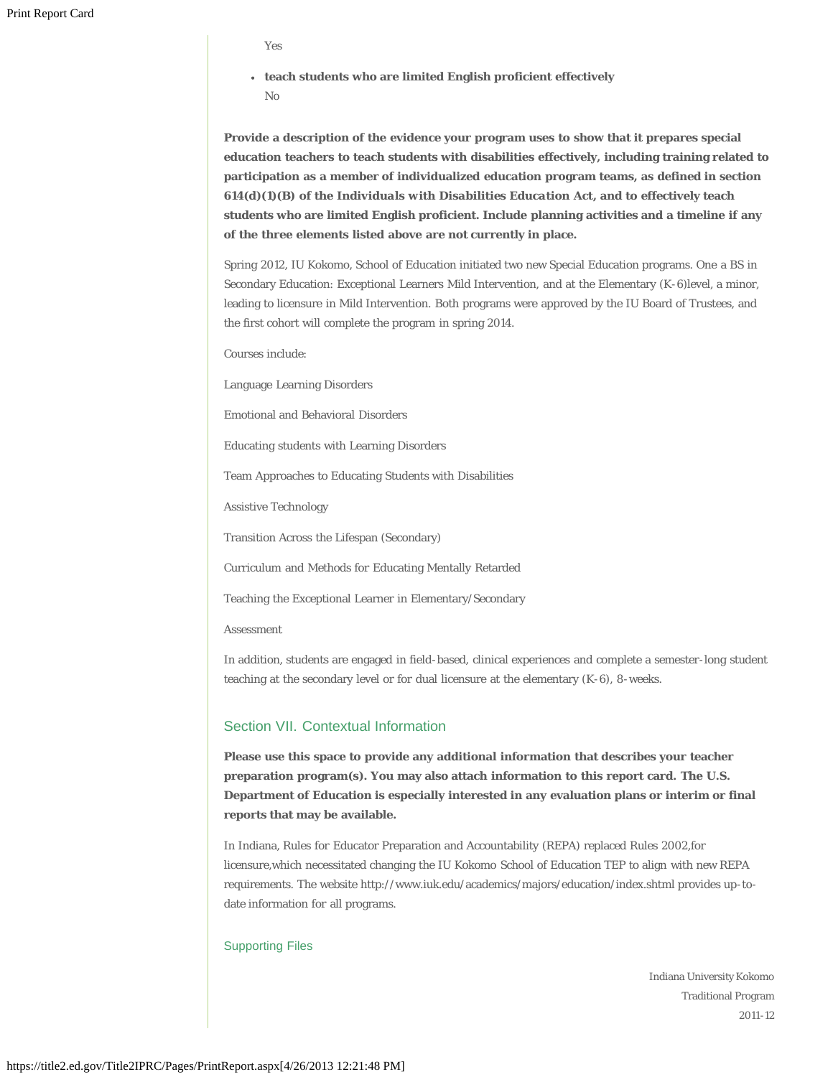- Yes
- **teach students who are limited English proficient effectively** No

**Provide a description of the evidence your program uses to show that it prepares special education teachers to teach students with disabilities effectively, including training related to participation as a member of individualized education program teams, as defined in section 614(d)(1)(B) of the** *Individuals with Disabilities Education Act***, and to effectively teach students who are limited English proficient. Include planning activities and a timeline if any of the three elements listed above are not currently in place.**

Spring 2012, IU Kokomo, School of Education initiated two new Special Education programs. One a BS in Secondary Education: Exceptional Learners Mild Intervention, and at the Elementary (K-6)level, a minor, leading to licensure in Mild Intervention. Both programs were approved by the IU Board of Trustees, and the first cohort will complete the program in spring 2014.

Courses include:

Language Learning Disorders

Emotional and Behavioral Disorders

Educating students with Learning Disorders

Team Approaches to Educating Students with Disabilities

Assistive Technology

Transition Across the Lifespan (Secondary)

Curriculum and Methods for Educating Mentally Retarded

Teaching the Exceptional Learner in Elementary/Secondary

Assessment

In addition, students are engaged in field-based, clinical experiences and complete a semester-long student teaching at the secondary level or for dual licensure at the elementary (K-6), 8-weeks.

# Section VII. Contextual Information

**Please use this space to provide any additional information that describes your teacher preparation program(s). You may also attach information to this report card. The U.S. Department of Education is especially interested in any evaluation plans or interim or final reports that may be available.**

In Indiana, Rules for Educator Preparation and Accountability (REPA) replaced Rules 2002,for licensure,which necessitated changing the IU Kokomo School of Education TEP to align with new REPA requirements. The website http://www.iuk.edu/academics/majors/education/index.shtml provides up-todate information for all programs.

#### Supporting Files

Indiana University Kokomo Traditional Program 2011-12